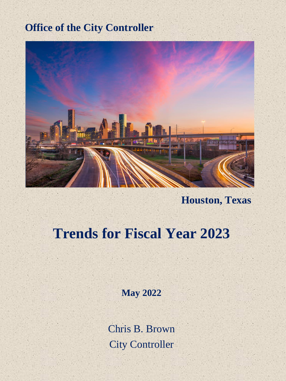### **Office of the City Controller**



**Houston, Texas**

## **Trends for Fiscal Year 2023**

**May 2022**

Chris B. Brown City Controller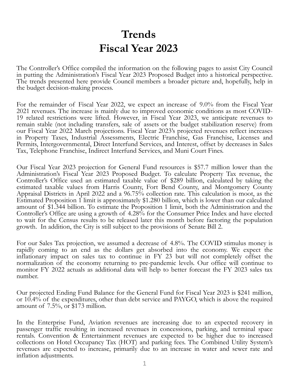## **Trends Fiscal Year 2023**

The Controller's Office compiled the information on the following pages to assist City Council in putting the Administration's Fiscal Year 2023 Proposed Budget into a historical perspective. The trends presented here provide Council members a broader picture and, hopefully, help in the budget decision-making process.

For the remainder of Fiscal Year 2022, we expect an increase of 9.0% from the Fiscal Year 2021 revenues. The increase is mainly due to improved economic conditions as most COVID-19 related restrictions were lifted. However, in Fiscal Year 2023, we anticipate revenues to remain stable (not including transfers, sale of assets or the budget stabilization reserve) from our Fiscal Year 2022 March projections. Fiscal Year 2023's projected revenues reflect increases in Property Taxes, Industrial Assessments, Electric Franchise, Gas Franchise, Licenses and Permits, Intergovernmental, Direct Interfund Services, and Interest, offset by decreases in Sales Tax, Telephone Franchise, Indirect Interfund Services, and Muni Court Fines.

Our Fiscal Year 2023 projection for General Fund resources is \$57.7 million lower than the Administration's Fiscal Year 2023 Proposed Budget. To calculate Property Tax revenue, the Controller's Office used an estimated taxable value of \$289 billion, calculated by taking the estimated taxable values from Harris County, Fort Bend County, and Montgomery County Appraisal Districts in April 2022 and a 96.75% collection rate. This calculation is moot, as the Estimated Proposition 1 limit is approximately \$1.280 billion, which is lower than our calculated amount of \$1.344 billion. To estimate the Proposition 1 limit, both the Administration and the Controller's Office are using a growth of 4.28% for the Consumer Price Index and have elected to wait for the Census results to be released later this month before factoring the population growth. In addition, the City is still subject to the provisions of Senate Bill 2.

For our Sales Tax projection, we assumed a decrease of 4.8%. The COVID stimulus money is rapidly coming to an end as the dollars get absorbed into the economy. We expect the inflationary impact on sales tax to continue in FY 23 but will not completely offset the normalization of the economy returning to pre-pandemic levels. Our office will continue to monitor FY 2022 actuals as additional data will help to better forecast the FY 2023 sales tax number.

Our projected Ending Fund Balance for the General Fund for Fiscal Year 2023 is \$241 million, or 10.4% of the expenditures, other than debt service and PAYGO, which is above the required amount of 7.5%, or \$173 million.

In the Enterprise Fund, Aviation revenues are increasing due to an expected recovery in passenger traffic resulting in increased revenues in concessions, parking, and terminal space rentals. Convention & Entertainment revenues are expected to be higher due to increased collections on Hotel Occupancy Tax (HOT) and parking fees. The Combined Utility System's revenues are expected to increase, primarily due to an increase in water and sewer rate and inflation adjustments.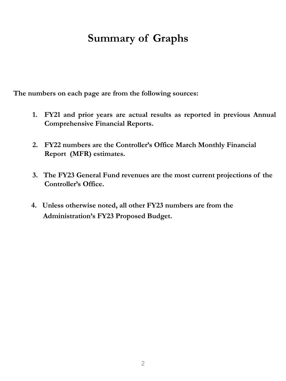### **Summary of Graphs**

**The numbers on each page are from the following sources:**

- **1. FY21 and prior years are actual results as reported in previous Annual Comprehensive Financial Reports.**
- **2. FY22 numbers are the Controller's Office March Monthly Financial Report (MFR) estimates.**
- **3. The FY23 General Fund revenues are the most current projections of the Controller's Office.**
- **4. Unless otherwise noted, all other FY23 numbers are from the Administration's FY23 Proposed Budget.**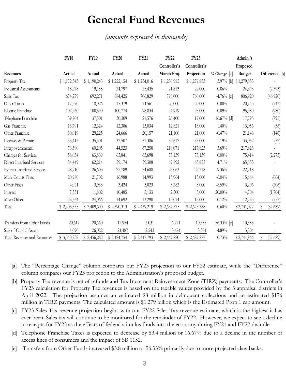#### **General Fund Revenues**

*(amounts expressed in thousands)*

|                               | <b>FY18</b> | <b>FY19</b> | <b>FY20</b> | <b>FY21</b> | <b>FY22</b>  | <b>FY23</b>  |               | Admin.'s      |                |
|-------------------------------|-------------|-------------|-------------|-------------|--------------|--------------|---------------|---------------|----------------|
|                               |             |             |             |             | Controller's | Controller's |               | Proposed      |                |
| Revenues                      | Actual      | Actual      | Actual      | Actual      | March Proj.  | Projection   | % Change [a]  | <b>Budget</b> | Difference [a] |
| Property Tax                  | \$1,172,543 | \$1,190,243 | \$1,222,154 | \$1,254,016 | \$1,230,985  | \$1,279,853  | $3.97\%$ [b]  | \$1,279,853   |                |
| <b>Industrial Assessments</b> | 18,278      | 19,755      | 24,797      | 25,435      | 21,813       | 22,000       | 0.86%         | 24,393        | (2,393)        |
| Sales Tax                     | 674,279     | 692,271     | 684,425     | 706,829     | 798,000      | 760,000      | $-4.76%$ [c]  | 806,920       | (46,920)       |
| Other Taxes                   | 17,370      | 18,026      | 15,379      | 14,561      | 20,000       | 20,000       | $0.00\%$      | 20,743        | (743)          |
| Electric Franchise            | 102,260     | 100,590     | 100,774     | 98,834      | 94,919       | 95,000       | 0.09%         | 95,980        | (980)          |
| Telephone Franchise           | 39,704      | 37,501      | 30,309      | 21,576      | 20,400       | 17,000       | $-16.67%$ [d] | 17,795        | (795)          |
| Gas Franchise                 | 13,791      | 12,324      | 12,386      | 13,034      | 12,821       | 13,000       | 1.40%         | 13,056        | (56)           |
| Other Franchise               | 30,019      | 29,225      | 24,666      | 20,157      | 21,100       | 21,000       | $-0.47%$      | 21,146        | (146)          |
| Licenses & Permits            | 33,412      | 35,301      | 32,507      | 31,386      | 32,612       | 33,000       | 1.19%         | 33,052        | (52)           |
| Intergovernmental             | 76,390      | 60,205      | 44,523      | 67,258      | 210,071      | 217,823      | 3.69%         | 217,823       |                |
| Charges for Services          | 58,034      | 63,839      | 65,841      | 65,698      | 73,139       | 73,139       | $0.00\%$      | 75,414        | (2,275)        |
| Direct Interfund Services     | 54,449      | 62,214      | 59,174      | 59,308      | 62,892       | 65,855       | 4.71%         | 65,855        |                |
| Indirect Interfund Services   | 28,910      | 26,603      | 27,789      | 24,688      | 25,063       | 22,718       | $-9.36%$      | 22,718        |                |
| Muni Courts Fines             | 20,980      | 21,702      | 16,988      | 14,993      | 15,964       | 15,000       | $-6.04%$      | 15,664        | (664)          |
| Other Fines                   | 4,021       | 3,933       | 3,424       | 3,023       | 3,282        | 3,000        | $-8.59%$      | 3,206         | (206)          |
| Interest                      | 7,531       | 11,802      | 10,485      | 5,133       | 2,500        | 3,000        | $20.00\%$     | 4,704         | (1,704)        |
| Misc/Other                    | 53,564      | 24,066      | 14,692      | 13,290      | 12,014       | 12,000       | $-0.12%$      | 12,755        | (755)          |
| Total                         | \$2,405,535 | \$2,409,600 | \$2,390,313 | \$2,439,219 | \$2,657,575  | \$2,673,388  | 0.60%         | \$2,731,077   | (57,689)<br>S  |
| Transfers from Other Funds    | 20,617      | 20,660      | 12,954      | 6,031       | 6,771        | 10,585       | 56.33% [e]    | 10,585        |                |
| Sale of Capital Assets        | 4,090       | 26,022      | 21,487      | 2,543       | 3,474        | 3,304        | $-4.89%$      | 3,304         |                |
| Total Revenues and Resources  | \$3,340,232 | \$2,456,282 | \$2,424,754 | \$2,447,793 | \$2,667,820  | \$2,687,277  | 0.73%         | \$2,744,966   | \$<br>(57,689) |

- [a] The "Percentage Change" column compares our FY23 projection to our FY22 estimate, while the "Difference" column compares our FY23 projection to the Administration's proposed budget.
- [b] Property Tax revenue is net of refunds and Tax Increment Reinvestment Zone (TIRZ) payments. The Controller's FY23 calculation for Property Tax revenues is based on the taxable values provided by the 3 appraisal districts in April 2022. The projection assumes an estimated \$8 million in delinquent collections and an estimated \$176 million in TIRZ payments. The calculated amount is \$1.279 billion which is the Estimated Prop 1 cap amount.
- [c] FY23 Sales Tax revenue projection begins with our FY22 Sales Tax revenue estimate, which is the highest it has ever been. Sales tax will continue to be monitored for the remainder of FY22. However, we expect to see a decline in receipts for FY23 as the effects of federal stimulus funds into the economy during FY21 and FY22 dwindle.
- [d] Telephone Franchise Taxes is expected to decrease by \$3.4 million or 16.67% due to a decline in the number of access lines of consumers and the impact of SB 1152.
- [e] Transfers from Other Funds increased \$3.8 million or 56.33% primarily due to more projected claw backs.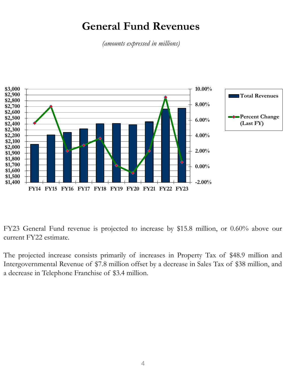### **General Fund Revenues**

*(amounts expressed in millions)*



FY23 General Fund revenue is projected to increase by \$15.8 million, or 0.60% above our current FY22 estimate.

The projected increase consists primarily of increases in Property Tax of \$48.9 million and Intergovernmental Revenue of \$7.8 million offset by a decrease in Sales Tax of \$38 million, and a decrease in Telephone Franchise of \$3.4 million.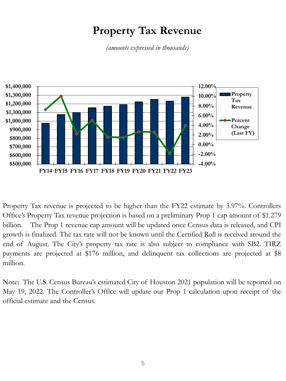### **Property Tax Revenue**

*(amounts expressed in thousands)*



Property Tax revenue is projected to be higher than the FY22 estimate by 3.97%. Controllers Office's Property Tax revenue projection is based on a preliminary Prop 1 cap amount of \$1.279 billion. The Prop 1 revenue cap amount will be updated once Census data is released, and CPI growth is finalized. The tax rate will not be known until the Certified Roll is received around the end of August. The City's property tax rate is also subject to compliance with SB2. TIRZ payments are projected at \$176 million, and delinquent tax collections are projected at \$8 million.

Note: The U.S. Census Bureau's estimated City of Houston 2021 population will be reported on May 19, 2022. The Controller's Office will update our Prop 1 calculation upon receipt of the official estimate and the Census.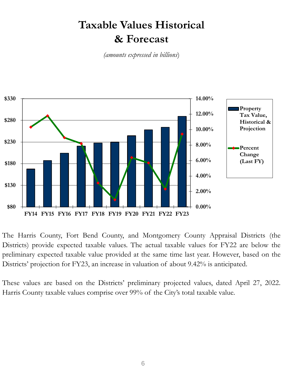## **Taxable Values Historical & Forecast**

*(amounts expressed in billions*)



The Harris County, Fort Bend County, and Montgomery County Appraisal Districts (the Districts) provide expected taxable values. The actual taxable values for FY22 are below the preliminary expected taxable value provided at the same time last year. However, based on the Districts' projection for FY23, an increase in valuation of about 9.42% is anticipated.

These values are based on the Districts' preliminary projected values, dated April 27, 2022. Harris County taxable values comprise over 99% of the City's total taxable value.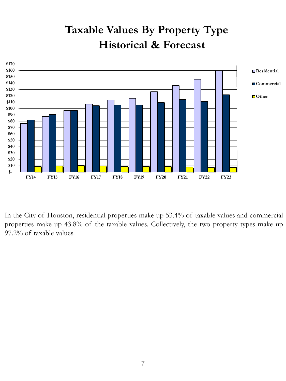## **Taxable Values By Property Type Historical & Forecast**



In the City of Houston, residential properties make up 53.4% of taxable values and commercial properties make up 43.8% of the taxable values. Collectively, the two property types make up 97.2% of taxable values.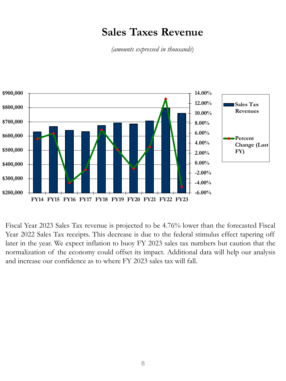### **Sales Taxes Revenue**

*(amounts expressed in thousands*)



Fiscal Year 2023 Sales Tax revenue is projected to be 4.76% lower than the forecasted Fiscal Year 2022 Sales Tax receipts. This decrease is due to the federal stimulus effect tapering off later in the year. We expect inflation to buoy FY 2023 sales tax numbers but caution that the normalization of the economy could offset its impact. Additional data will help our analysis and increase our confidence as to where FY 2023 sales tax will fall.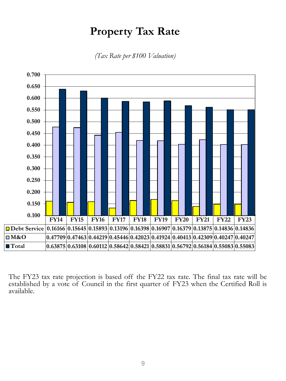### **Property Tax Rate**

*(Tax Rate per \$100 Valuation)*



The FY23 tax rate projection is based off the FY22 tax rate. The final tax rate will be established by a vote of Council in the first quarter of FY23 when the Certified Roll is available.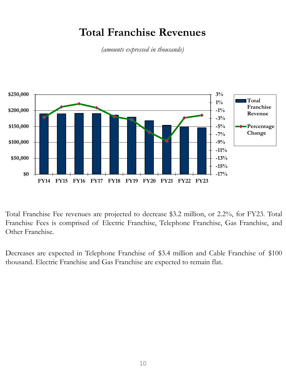### **Total Franchise Revenues**

*(amounts expressed in thousands)*



Total Franchise Fee revenues are projected to decrease \$3.2 million, or 2.2%, for FY23. Total Franchise Fees is comprised of Electric Franchise, Telephone Franchise, Gas Franchise, and Other Franchise.

Decreases are expected in Telephone Franchise of \$3.4 million and Cable Franchise of \$100 thousand. Electric Franchise and Gas Franchise are expected to remain flat.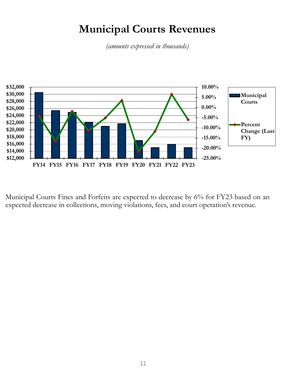### **Municipal Courts Revenues**

*(amounts expressed in thousands)*



Municipal Courts Fines and Forfeits are expected to decrease by 6% for FY23 based on an expected decrease in collections, moving violations, fees, and court operation's revenue.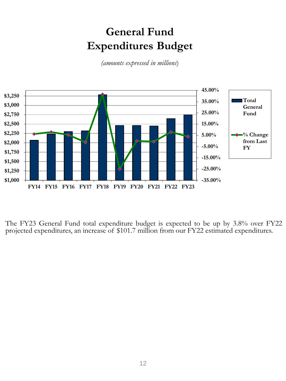## **General Fund Expenditures Budget**

*(amounts expressed in millions*)



The FY23 General Fund total expenditure budget is expected to be up by 3.8% over FY22 projected expenditures, an increase of \$101.7 million from our FY22 estimated expenditures.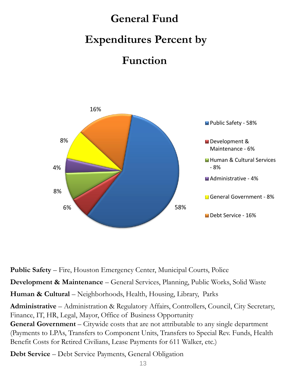# **General Fund Expenditures Percent by Function**



**Public Safety** – Fire, Houston Emergency Center, Municipal Courts, Police

**Development & Maintenance** – General Services, Planning, Public Works, Solid Waste

**Human & Cultural** – Neighborhoods, Health, Housing, Library, Parks

**Administrative** – Administration & Regulatory Affairs, Controllers, Council, City Secretary, Finance, IT, HR, Legal, Mayor, Office of Business Opportunity

**General Government** – Citywide costs that are not attributable to any single department (Payments to LPAs, Transfers to Component Units, Transfers to Special Rev. Funds, Health Benefit Costs for Retired Civilians, Lease Payments for 611 Walker, etc.)

**Debt Service** – Debt Service Payments, General Obligation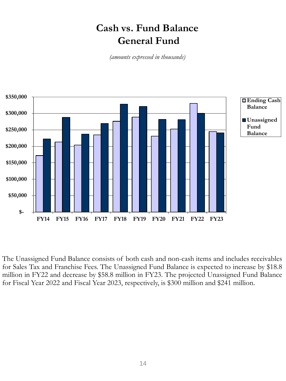### **Cash vs. Fund Balance General Fund**

*(amounts expressed in thousands)*



The Unassigned Fund Balance consists of both cash and non-cash items and includes receivables for Sales Tax and Franchise Fees. The Unassigned Fund Balance is expected to increase by \$18.8 million in FY22 and decrease by \$58.8 million in FY23. The projected Unassigned Fund Balance for Fiscal Year 2022 and Fiscal Year 2023, respectively, is \$300 million and \$241 million.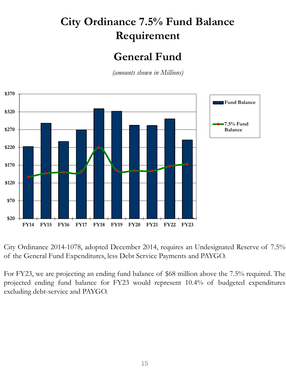## **City Ordinance 7.5% Fund Balance Requirement**

### **General Fund**

*(amounts shown in Millions)*



City Ordinance 2014-1078, adopted December 2014, requires an Undesignated Reserve of 7.5% of the General Fund Expenditures, less Debt Service Payments and PAYGO.

For FY23, we are projecting an ending fund balance of \$68 million above the 7.5% required. The projected ending fund balance for FY23 would represent 10.4% of budgeted expenditures excluding debt-service and PAYGO.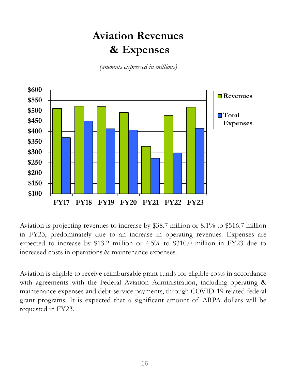## **Aviation Revenues & Expenses**

*(amounts expressed in millions)*



Aviation is projecting revenues to increase by \$38.7 million or 8.1% to \$516.7 million in FY23, predominately due to an increase in operating revenues. Expenses are expected to increase by \$13.2 million or 4.5% to \$310.0 million in FY23 due to increased costs in operations & maintenance expenses.

Aviation is eligible to receive reimbursable grant funds for eligible costs in accordance with agreements with the Federal Aviation Administration, including operating & maintenance expenses and debt-service payments, through COVID-19 related federal grant programs. It is expected that a significant amount of ARPA dollars will be requested in FY23.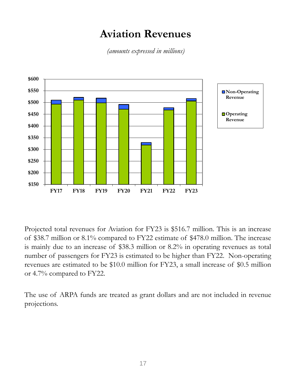### **Aviation Revenues**

*(amounts expressed in millions)*



Projected total revenues for Aviation for FY23 is \$516.7 million. This is an increase of \$38.7 million or 8.1% compared to FY22 estimate of \$478.0 million. The increase is mainly due to an increase of \$38.3 million or 8.2% in operating revenues as total number of passengers for FY23 is estimated to be higher than FY22. Non-operating revenues are estimated to be \$10.0 million for FY23, a small increase of \$0.5 million or 4.7% compared to FY22.

The use of ARPA funds are treated as grant dollars and are not included in revenue projections.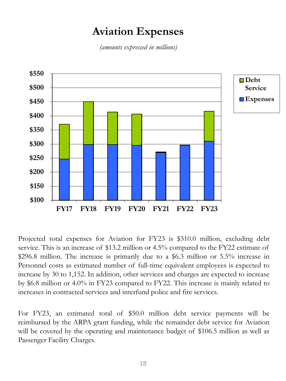## **Aviation Expenses**

*(amounts expressed in millions)*



Projected total expenses for Aviation for FY23 is \$310.0 million, excluding debt service. This is an increase of \$13.2 million or 4.5% compared to the FY22 estimate of \$296.8 million. The increase is primarily due to a \$6.3 million or 5.5% increase in Personnel costs as estimated number of full-time equivalent employees is expected to increase by 30 to 1,152. In addition, other services and charges are expected to increase by \$6.8 million or 4.0% in FY23 compared to FY22. This increase is mainly related to increases in contracted services and interfund police and fire services.

For FY23, an estimated total of \$50.0 million debt service payments will be reimbursed by the ARPA grant funding, while the remainder debt service for Aviation will be covered by the operating and maintenance budget of \$106.5 million as well as Passenger Facility Charges.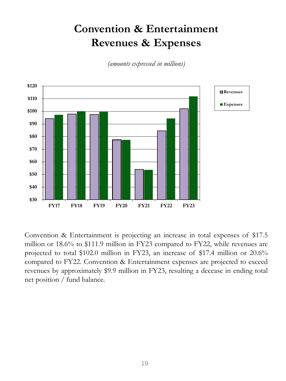## **Convention & Entertainment Revenues & Expenses**

*(amounts expressed in millions)*



Convention & Entertainment is projecting an increase in total expenses of \$17.5 million or 18.6% to \$111.9 million in FY23 compared to FY22, while revenues are projected to total \$102.0 million in FY23, an increase of \$17.4 million or 20.6% compared to FY22. Convention & Entertainment expenses are projected to exceed revenues by approximately \$9.9 million in FY23, resulting a decease in ending total net position / fund balance.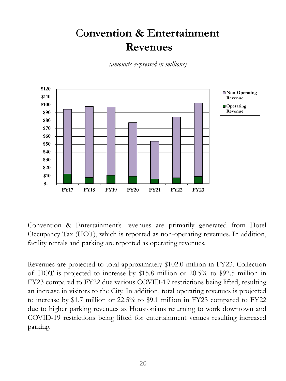## C**onvention & Entertainment Revenues**

*(amounts expressed in millions)*



Convention & Entertainment's revenues are primarily generated from Hotel Occupancy Tax (HOT), which is reported as non-operating revenues. In addition, facility rentals and parking are reported as operating revenues.

Revenues are projected to total approximately \$102.0 million in FY23. Collection of HOT is projected to increase by \$15.8 million or 20.5% to \$92.5 million in FY23 compared to FY22 due various COVID-19 restrictions being lifted, resulting an increase in visitors to the City. In addition, total operating revenues is projected to increase by \$1.7 million or 22.5% to \$9.1 million in FY23 compared to FY22 due to higher parking revenues as Houstonians returning to work downtown and COVID-19 restrictions being lifted for entertainment venues resulting increased parking.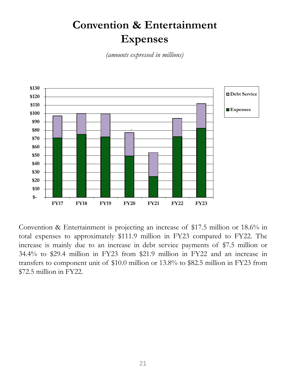## **Convention & Entertainment Expenses**

*(amounts expressed in millions)*



Convention & Entertainment is projecting an increase of \$17.5 million or 18.6% in total expenses to approximately \$111.9 million in FY23 compared to FY22. The increase is mainly due to an increase in debt service payments of \$7.5 million or 34.4% to \$29.4 million in FY23 from \$21.9 million in FY22 and an increase in transfers to component unit of \$10.0 million or 13.8% to \$82.5 million in FY23 from \$72.5 million in FY22.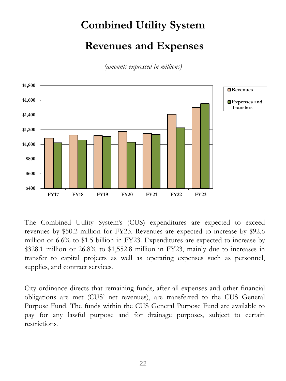# **Combined Utility System Revenues and Expenses**

*(amounts expressed in millions)*



The Combined Utility System's (CUS) expenditures are expected to exceed revenues by \$50.2 million for FY23. Revenues are expected to increase by \$92.6 million or 6.6% to \$1.5 billion in FY23. Expenditures are expected to increase by \$328.1 million or 26.8% to \$1,552.8 million in FY23, mainly due to increases in transfer to capital projects as well as operating expenses such as personnel, supplies, and contract services.

City ordinance directs that remaining funds, after all expenses and other financial obligations are met (CUS' net revenues), are transferred to the CUS General Purpose Fund. The funds within the CUS General Purpose Fund are available to pay for any lawful purpose and for drainage purposes, subject to certain restrictions.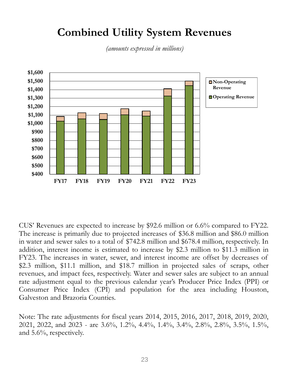### **Combined Utility System Revenues**

*(amounts expressed in millions)*



CUS' Revenues are expected to increase by \$92.6 million or 6.6% compared to FY22. The increase is primarily due to projected increases of \$36.8 million and \$86.0 million in water and sewer sales to a total of \$742.8 million and \$678.4 million, respectively. In addition, interest income is estimated to increase by \$2.3 million to \$11.3 million in FY23. The increases in water, sewer, and interest income are offset by decreases of \$2.3 million, \$11.1 million, and \$18.7 million in projected sales of scraps, other revenues, and impact fees, respectively. Water and sewer sales are subject to an annual rate adjustment equal to the previous calendar year's Producer Price Index (PPI) or Consumer Price Index (CPI) and population for the area including Houston, Galveston and Brazoria Counties.

Note: The rate adjustments for fiscal years 2014, 2015, 2016, 2017, 2018, 2019, 2020, 2021, 2022, and 2023 - are 3.6%, 1.2%, 4.4%, 1.4%, 3.4%, 2.8%, 2.8%, 3.5%, 1.5%, and 5.6%, respectively.